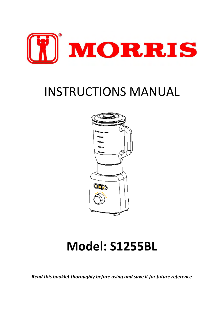

# INSTRUCTIONS MANUAL



## **Model: S1255BL**

*Read this booklet thoroughly before using and save it for future reference*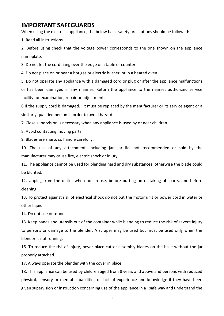### **IMPORTANT SAFEGUARDS**

When using the electrical appliance, the below basic safety precautions should be followed:

1. Read all instructions.

2. Before using check that the voltage power corresponds to the one shown on the appliance nameplate.

3. Do not let the cord hang over the edge of a table or counter.

4. Do not place on or near a hot gas or electric burner, or in a heated oven.

5. Do not operate any appliance with a damaged cord or plug or after the appliance malfunctions or has been damaged in any manner. Return the appliance to the nearest authorized service facility for examination, repair or adjustment.

6.If the supply cord is damaged, it must be replaced by the manufacturer or its service agent or a similarly qualified person in order to avoid hazard

7. Close supervision is necessary when any appliance is used by or near children.

8. Avoid contacting moving parts.

9. Blades are sharp, so handle carefully.

10. The use of any attachment, including jar, jar lid, not recommended or sold by the manufacturer may cause fire, electric shock or injury.

11. The appliance cannot be used for blending hard and dry substances, otherwise the blade could be blunted.

12. Unplug from the outlet when not in use, before putting on or taking off parts, and before cleaning.

13. To protect against risk of electrical shock do not put the motor unit or power cord in water or other liquid.

14. Do not use outdoors.

15. Keep hands and utensils out of the container while blending to reduce the risk of severe injury to persons or damage to the blender. A scraper may be used but must be used only when the blender is not running.

16. To reduce the risk of injury, never place cutter-assembly blades on the base without the jar properly attached.

17. Always operate the blender with the cover in place.

18. This appliance can be used by children aged from 8 years and above and persons with reduced physical, sensory or mental capabilities or lack of experience and knowledge if they have been given supervision or instruction concerning use of the appliance in a safe way and understand the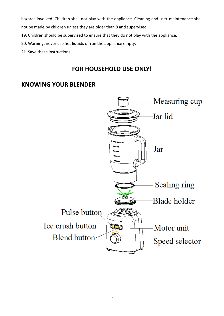hazards involved. Children shall not play with the appliance. Cleaning and user maintenance shall

not be made by children unless they are older than 8 and supervised.

- 19. Children should be supervised to ensure that they do not play with the appliance.
- 20. Warning: never use hot liquids or run the appliance empty.
- 21. Save these instructions.

## **FOR HOUSEHOLD USE ONLY!**

## **KNOWING YOUR BLENDER**

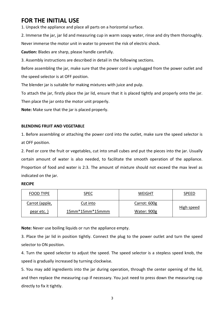## **FOR THE INITIAL USE**

1. Unpack the appliance and place all parts on a horizontal surface.

2. Immerse the jar, jar lid and measuring cup in warm soapy water, rinse and dry them thoroughly. Never immerse the motor unit in water to prevent the risk of electric shock.

**Caution:** Blades are sharp, please handle carefully.

3. Assembly instructions are described in detail in the following sections.

Before assembling the jar, make sure that the power cord is unplugged from the power outlet and the speed selector is at OFF position.

The blender jar is suitable for making mixtures with juice and pulp.

To attach the jar, firstly place the jar lid, ensure that it is placed tightly and properly onto the jar.

Then place the jar onto the motor unit properly.

**Note:** Make sure that the jar is placed properly.

#### **BLENDING FRUIT AND VEGETABLE**

1. Before assembling or attaching the power cord into the outlet, make sure the speed selector is at OFF position.

2. Peel or core the fruit or vegetables, cut into small cubes and put the pieces into the jar. Usually certain amount of water is also needed, to facilitate the smooth operation of the appliance. Proportion of food and water is 2:3. The amount of mixture should not exceed the max level as indicated on the jar.

#### **RECIPE**

| FOOD TYPE      | <b>SPEC</b>       | WEIGHT       | SPEED      |
|----------------|-------------------|--------------|------------|
| Carrot (apple, | Cut into          | Carrot: 600g | High speed |
| pear etc.)     | $15mm*15mm*15mmm$ | Water: 900g  |            |

**Note:** Never use boiling liquids or run the appliance empty.

3. Place the jar lid in position tightly. Connect the plug to the power outlet and turn the speed selector to ON position.

4. Turn the speed selector to adjust the speed. The speed selector is a stepless speed knob, the speed is gradually increased by turning clockwise.

5. You may add ingredients into the jar during operation, through the center opening of the lid, and then replace the measuring cup if necessary. You just need to press down the measuring cup directly to fix it tightly.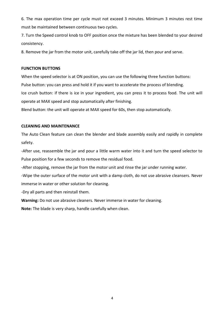6. The max operation time per cycle must not exceed 3 minutes. Minimum 3 minutes rest time must be maintained between continuous two cycles.

7. Turn the Speed control knob to OFF position once the mixture has been blended to your desired consistency.

8. Remove the jar from the motor unit, carefully take off the jar lid, then pour and serve.

#### **FUNCTION BUTTONS**

When the speed selector is at ON position, you can use the following three function buttons:

Pulse button: you can press and hold it if you want to accelerate the process of blending.

Ice crush button: if there is ice in your ingredient, you can press it to process food. The unit will operate at MAX speed and stop automatically after finishing.

Blend button: the unit will operate at MAX speed for 60s, then stop automatically.

#### **CLEANING AND MAINTENANCE**

The Auto Clean feature can clean the blender and blade assembly easily and rapidly in complete safety.

-After use, reassemble the jar and pour a little warm water into it and turn the speed selector to Pulse position for a few seconds to remove the residual food.

-After stopping, remove the jar from the motor unit and rinse the jar under running water.

-Wipe the outer surface of the motor unit with a damp cloth, do not use abrasive cleansers. Never immerse in water or other solution for cleaning.

-Dry all parts and then reinstall them.

**Warning:** Do not use abrasive cleaners. Never immerse in water for cleaning.

**Note:** The blade is very sharp, handle carefully when clean.